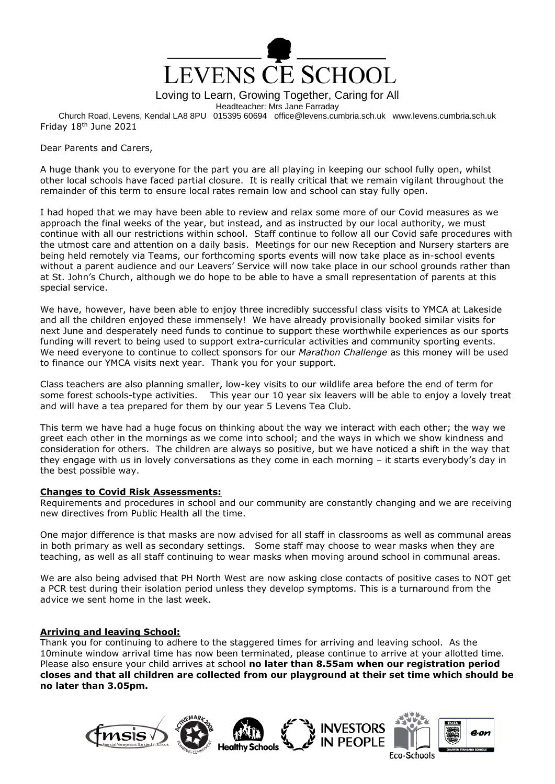

Loving to Learn, Growing Together, Caring for All

Headteacher: Mrs Jane Farraday

Church Road, Levens, Kendal LA8 8PU 015395 60694 office@levens.cumbria.sch.uk www.levens.cumbria.sch.uk Friday 18<sup>th</sup> June 2021

Dear Parents and Carers,

A huge thank you to everyone for the part you are all playing in keeping our school fully open, whilst other local schools have faced partial closure. It is really critical that we remain vigilant throughout the remainder of this term to ensure local rates remain low and school can stay fully open.

I had hoped that we may have been able to review and relax some more of our Covid measures as we approach the final weeks of the year, but instead, and as instructed by our local authority, we must continue with all our restrictions within school. Staff continue to follow all our Covid safe procedures with the utmost care and attention on a daily basis. Meetings for our new Reception and Nursery starters are being held remotely via Teams, our forthcoming sports events will now take place as in-school events without a parent audience and our Leavers' Service will now take place in our school grounds rather than at St. John's Church, although we do hope to be able to have a small representation of parents at this special service.

We have, however, have been able to enjoy three incredibly successful class visits to YMCA at Lakeside and all the children enjoyed these immensely! We have already provisionally booked similar visits for next June and desperately need funds to continue to support these worthwhile experiences as our sports funding will revert to being used to support extra-curricular activities and community sporting events. We need everyone to continue to collect sponsors for our *Marathon Challenge* as this money will be used to finance our YMCA visits next year. Thank you for your support.

Class teachers are also planning smaller, low-key visits to our wildlife area before the end of term for some forest schools-type activities. This year our 10 year six leavers will be able to enjoy a lovely treat and will have a tea prepared for them by our year 5 Levens Tea Club.

This term we have had a huge focus on thinking about the way we interact with each other; the way we greet each other in the mornings as we come into school; and the ways in which we show kindness and consideration for others. The children are always so positive, but we have noticed a shift in the way that they engage with us in lovely conversations as they come in each morning – it starts everybody's day in the best possible way.

### **Changes to Covid Risk Assessments:**

Requirements and procedures in school and our community are constantly changing and we are receiving new directives from Public Health all the time.

One major difference is that masks are now advised for all staff in classrooms as well as communal areas in both primary as well as secondary settings. Some staff may choose to wear masks when they are teaching, as well as all staff continuing to wear masks when moving around school in communal areas.

We are also being advised that PH North West are now asking close contacts of positive cases to NOT get a PCR test during their isolation period unless they develop symptoms. This is a turnaround from the advice we sent home in the last week.

# **Arriving and leaving School:**

Thank you for continuing to adhere to the staggered times for arriving and leaving school. As the 10minute window arrival time has now been terminated, please continue to arrive at your allotted time. Please also ensure your child arrives at school **no later than 8.55am when our registration period closes and that all children are collected from our playground at their set time which should be no later than 3.05pm.**

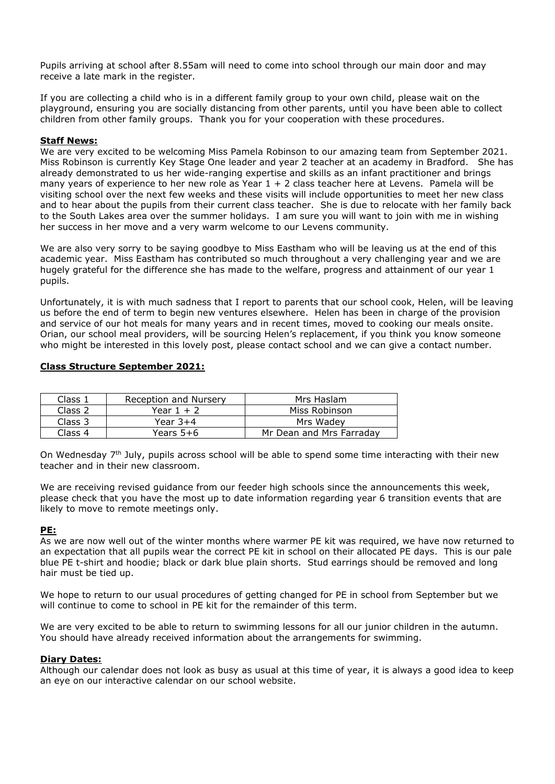Pupils arriving at school after 8.55am will need to come into school through our main door and may receive a late mark in the register.

If you are collecting a child who is in a different family group to your own child, please wait on the playground, ensuring you are socially distancing from other parents, until you have been able to collect children from other family groups. Thank you for your cooperation with these procedures.

## **Staff News:**

We are very excited to be welcoming Miss Pamela Robinson to our amazing team from September 2021. Miss Robinson is currently Key Stage One leader and year 2 teacher at an academy in Bradford. She has already demonstrated to us her wide-ranging expertise and skills as an infant practitioner and brings many years of experience to her new role as Year  $1 + 2$  class teacher here at Levens. Pamela will be visiting school over the next few weeks and these visits will include opportunities to meet her new class and to hear about the pupils from their current class teacher. She is due to relocate with her family back to the South Lakes area over the summer holidays. I am sure you will want to join with me in wishing her success in her move and a very warm welcome to our Levens community.

We are also very sorry to be saying goodbye to Miss Eastham who will be leaving us at the end of this academic year. Miss Eastham has contributed so much throughout a very challenging year and we are hugely grateful for the difference she has made to the welfare, progress and attainment of our year 1 pupils.

Unfortunately, it is with much sadness that I report to parents that our school cook, Helen, will be leaving us before the end of term to begin new ventures elsewhere. Helen has been in charge of the provision and service of our hot meals for many years and in recent times, moved to cooking our meals onsite. Orian, our school meal providers, will be sourcing Helen's replacement, if you think you know someone who might be interested in this lovely post, please contact school and we can give a contact number.

### **Class Structure September 2021:**

| Class 1 | Reception and Nursery | Mrs Haslam               |
|---------|-----------------------|--------------------------|
| Class 2 | Year $1 + 2$          | Miss Robinson            |
| Class 3 | Year 3+4              | Mrs Wadev                |
| Class 4 | Years 5+6             | Mr Dean and Mrs Farradav |

On Wednesday 7<sup>th</sup> July, pupils across school will be able to spend some time interacting with their new teacher and in their new classroom.

We are receiving revised guidance from our feeder high schools since the announcements this week, please check that you have the most up to date information regarding year 6 transition events that are likely to move to remote meetings only.

### **PE:**

As we are now well out of the winter months where warmer PE kit was required, we have now returned to an expectation that all pupils wear the correct PE kit in school on their allocated PE days. This is our pale blue PE t-shirt and hoodie; black or dark blue plain shorts. Stud earrings should be removed and long hair must be tied up.

We hope to return to our usual procedures of getting changed for PE in school from September but we will continue to come to school in PE kit for the remainder of this term.

We are very excited to be able to return to swimming lessons for all our junior children in the autumn. You should have already received information about the arrangements for swimming.

### **Diary Dates:**

Although our calendar does not look as busy as usual at this time of year, it is always a good idea to keep an eye on our interactive calendar on our school website.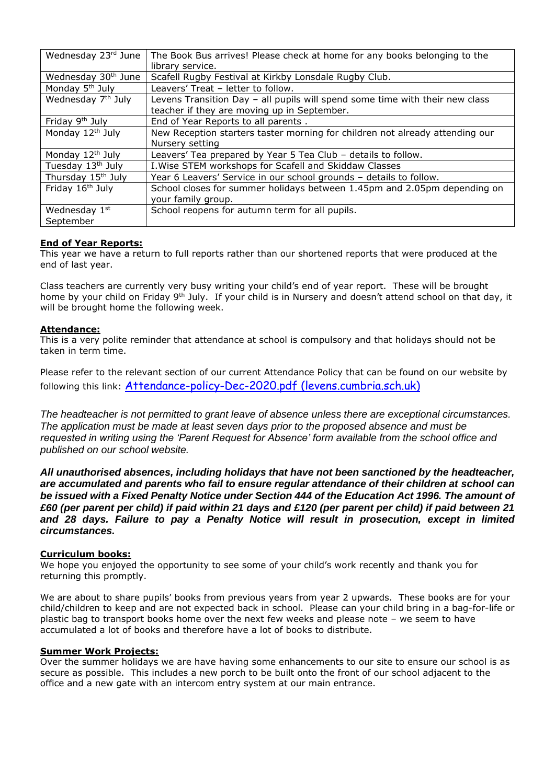| Wednesday 23rd June             | The Book Bus arrives! Please check at home for any books belonging to the<br>library service. |  |
|---------------------------------|-----------------------------------------------------------------------------------------------|--|
| Wednesday 30 <sup>th</sup> June | Scafell Rugby Festival at Kirkby Lonsdale Rugby Club.                                         |  |
| Monday 5 <sup>th</sup> July     | Leavers' Treat - letter to follow.                                                            |  |
| Wednesday 7 <sup>th</sup> July  | Levens Transition Day - all pupils will spend some time with their new class                  |  |
|                                 | teacher if they are moving up in September.                                                   |  |
| Friday 9 <sup>th</sup> July     | End of Year Reports to all parents.                                                           |  |
| Monday 12 <sup>th</sup> July    | New Reception starters taster morning for children not already attending our                  |  |
|                                 | Nursery setting                                                                               |  |
| Monday 12 <sup>th</sup> July    | Leavers' Tea prepared by Year 5 Tea Club - details to follow.                                 |  |
| Tuesday 13th July               | I. Wise STEM workshops for Scafell and Skiddaw Classes                                        |  |
| Thursday 15 <sup>th</sup> July  | Year 6 Leavers' Service in our school grounds - details to follow.                            |  |
| Friday 16 <sup>th</sup> July    | School closes for summer holidays between 1.45pm and 2.05pm depending on                      |  |
|                                 | your family group.                                                                            |  |
| Wednesday 1st                   | School reopens for autumn term for all pupils.                                                |  |
| September                       |                                                                                               |  |

# **End of Year Reports:**

This year we have a return to full reports rather than our shortened reports that were produced at the end of last year.

Class teachers are currently very busy writing your child's end of year report. These will be brought home by your child on Friday 9<sup>th</sup> July. If your child is in Nursery and doesn't attend school on that day, it will be brought home the following week.

# **Attendance:**

This is a very polite reminder that attendance at school is compulsory and that holidays should not be taken in term time.

Please refer to the relevant section of our current Attendance Policy that can be found on our website by following this link: [Attendance-policy-Dec-2020.pdf \(levens.cumbria.sch.uk\)](http://www.levens.cumbria.sch.uk/wp/wp-content/uploads/2020/12/Attendance-policy-Dec-2020.pdf)

*The headteacher is not permitted to grant leave of absence unless there are exceptional circumstances. The application must be made at least seven days prior to the proposed absence and must be requested in writing using the 'Parent Request for Absence' form available from the school office and published on our school website.*

*All unauthorised absences, including holidays that have not been sanctioned by the headteacher, are accumulated and parents who fail to ensure regular attendance of their children at school can be issued with a Fixed Penalty Notice under Section 444 of the Education Act 1996. The amount of £60 (per parent per child) if paid within 21 days and £120 (per parent per child) if paid between 21 and 28 days. Failure to pay a Penalty Notice will result in prosecution, except in limited circumstances.*

# **Curriculum books:**

We hope you enjoyed the opportunity to see some of your child's work recently and thank you for returning this promptly.

We are about to share pupils' books from previous years from year 2 upwards. These books are for your child/children to keep and are not expected back in school. Please can your child bring in a bag-for-life or plastic bag to transport books home over the next few weeks and please note – we seem to have accumulated a lot of books and therefore have a lot of books to distribute.

### **Summer Work Projects:**

Over the summer holidays we are have having some enhancements to our site to ensure our school is as secure as possible. This includes a new porch to be built onto the front of our school adjacent to the office and a new gate with an intercom entry system at our main entrance.